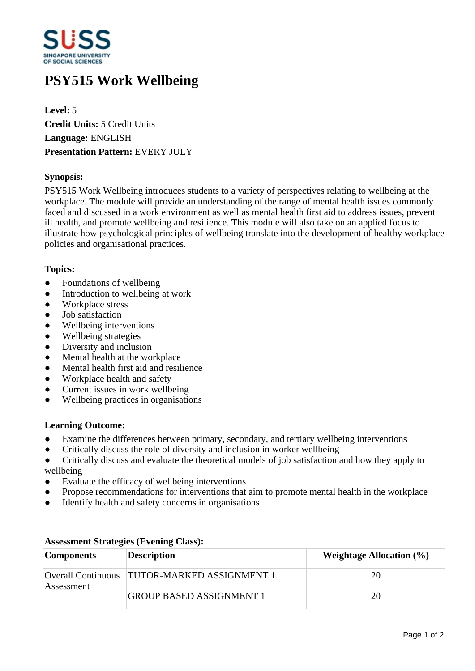

# **PSY515 Work Wellbeing**

**Level:** 5 **Credit Units:** 5 Credit Units **Language:** ENGLISH **Presentation Pattern:** EVERY JULY

# **Synopsis:**

PSY515 Work Wellbeing introduces students to a variety of perspectives relating to wellbeing at the workplace. The module will provide an understanding of the range of mental health issues commonly faced and discussed in a work environment as well as mental health first aid to address issues, prevent ill health, and promote wellbeing and resilience. This module will also take on an applied focus to illustrate how psychological principles of wellbeing translate into the development of healthy workplace policies and organisational practices.

# **Topics:**

- Foundations of wellbeing
- Introduction to wellbeing at work
- Workplace stress
- Job satisfaction
- ƔWellbeing interventions
- Wellbeing strategies
- Diversity and inclusion
- Mental health at the workplace
- Mental health first aid and resilience
- Workplace health and safety
- ƔCurrent issues in work wellbeing
- ƔWellbeing practices in organisations

### **Learning Outcome:**

- Examine the differences between primary, secondary, and tertiary wellbeing interventions
- Critically discuss the role of diversity and inclusion in worker wellbeing
- Critically discuss and evaluate the theoretical models of job satisfaction and how they apply to wellbeing
- Evaluate the efficacy of wellbeing interventions
- Propose recommendations for interventions that aim to promote mental health in the workplace
- Identify health and safety concerns in organisations

| <b>Components</b> | <b>Description</b>                             | <b>Weightage Allocation (%)</b> |
|-------------------|------------------------------------------------|---------------------------------|
| Assessment        | Overall Continuous   TUTOR-MARKED ASSIGNMENT 1 | 20                              |
|                   | <b>GROUP BASED ASSIGNMENT 1</b>                | 20                              |

### **Assessment Strategies (Evening Class):**